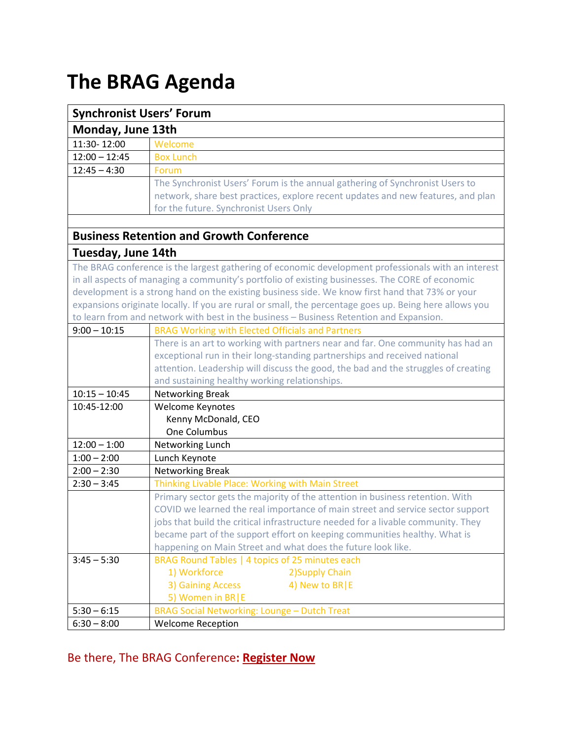# **The BRAG Agenda**

| <b>Synchronist Users' Forum</b>                                                                        |                                                                                                     |  |
|--------------------------------------------------------------------------------------------------------|-----------------------------------------------------------------------------------------------------|--|
| Monday, June 13th                                                                                      |                                                                                                     |  |
| 11:30-12:00                                                                                            | Welcome                                                                                             |  |
| $12:00 - 12:45$                                                                                        | <b>Box Lunch</b>                                                                                    |  |
| $12:45 - 4:30$                                                                                         | Forum                                                                                               |  |
|                                                                                                        | The Synchronist Users' Forum is the annual gathering of Synchronist Users to                        |  |
|                                                                                                        | network, share best practices, explore recent updates and new features, and plan                    |  |
|                                                                                                        | for the future. Synchronist Users Only                                                              |  |
|                                                                                                        |                                                                                                     |  |
| <b>Business Retention and Growth Conference</b>                                                        |                                                                                                     |  |
| <b>Tuesday, June 14th</b>                                                                              |                                                                                                     |  |
|                                                                                                        | The BRAG conference is the largest gathering of economic development professionals with an interest |  |
| in all aspects of managing a community's portfolio of existing businesses. The CORE of economic        |                                                                                                     |  |
| development is a strong hand on the existing business side. We know first hand that 73% or your        |                                                                                                     |  |
| expansions originate locally. If you are rural or small, the percentage goes up. Being here allows you |                                                                                                     |  |
|                                                                                                        | to learn from and network with best in the business - Business Retention and Expansion.             |  |
| $9:00 - 10:15$                                                                                         | <b>BRAG Working with Elected Officials and Partners</b>                                             |  |
|                                                                                                        | There is an art to working with partners near and far. One community has had an                     |  |
|                                                                                                        | exceptional run in their long-standing partnerships and received national                           |  |
|                                                                                                        | attention. Leadership will discuss the good, the bad and the struggles of creating                  |  |
|                                                                                                        | and sustaining healthy working relationships.                                                       |  |
| $10:15 - 10:45$                                                                                        | Networking Break                                                                                    |  |
| 10:45-12:00                                                                                            | Welcome Keynotes                                                                                    |  |
|                                                                                                        | Kenny McDonald, CEO<br>One Columbus                                                                 |  |
| $12:00 - 1:00$                                                                                         | Networking Lunch                                                                                    |  |
| $1:00 - 2:00$                                                                                          | Lunch Keynote                                                                                       |  |
| $2:00 - 2:30$                                                                                          | <b>Networking Break</b>                                                                             |  |
| $2:30 - 3:45$                                                                                          | Thinking Livable Place: Working with Main Street                                                    |  |
|                                                                                                        | Primary sector gets the majority of the attention in business retention. With                       |  |
|                                                                                                        | COVID we learned the real importance of main street and service sector support                      |  |
|                                                                                                        | jobs that build the critical infrastructure needed for a livable community. They                    |  |
|                                                                                                        | became part of the support effort on keeping communities healthy. What is                           |  |
|                                                                                                        | happening on Main Street and what does the future look like.                                        |  |
| $3:45 - 5:30$                                                                                          | BRAG Round Tables   4 topics of 25 minutes each                                                     |  |
|                                                                                                        | 1) Workforce<br>2) Supply Chain                                                                     |  |
|                                                                                                        | 3) Gaining Access<br>4) New to BR   E                                                               |  |
|                                                                                                        | 5) Women in BR E                                                                                    |  |
| $5:30 - 6:15$                                                                                          | <b>BRAG Social Networking: Lounge - Dutch Treat</b>                                                 |  |
| $6:30 - 8:00$                                                                                          | <b>Welcome Reception</b>                                                                            |  |

## Be there, The BRAG Conference**: Register Now**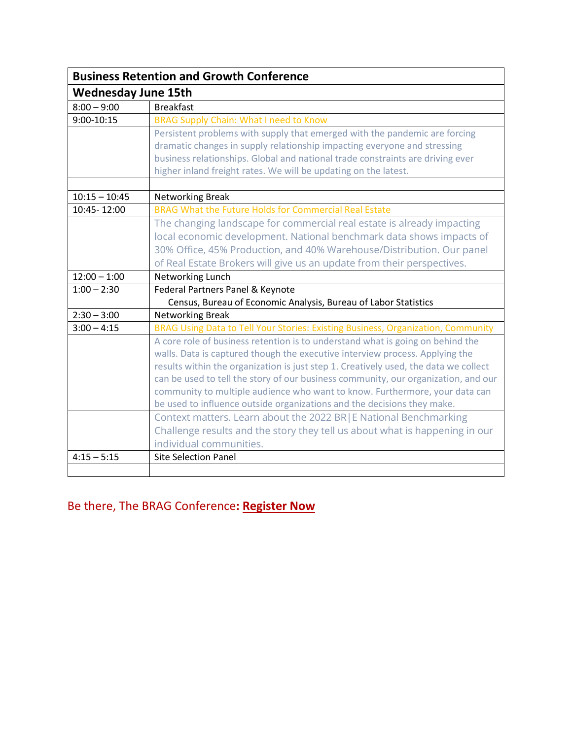| <b>Business Retention and Growth Conference</b> |                                                                                      |
|-------------------------------------------------|--------------------------------------------------------------------------------------|
| <b>Wednesday June 15th</b>                      |                                                                                      |
| $8:00 - 9:00$                                   | <b>Breakfast</b>                                                                     |
| $9:00 - 10:15$                                  | <b>BRAG Supply Chain: What I need to Know</b>                                        |
|                                                 | Persistent problems with supply that emerged with the pandemic are forcing           |
|                                                 | dramatic changes in supply relationship impacting everyone and stressing             |
|                                                 | business relationships. Global and national trade constraints are driving ever       |
|                                                 | higher inland freight rates. We will be updating on the latest.                      |
|                                                 |                                                                                      |
| $10:15 - 10:45$                                 | Networking Break<br>BRAG What the Future Holds for Commercial Real Estate            |
| 10:45-12:00                                     |                                                                                      |
|                                                 | The changing landscape for commercial real estate is already impacting               |
|                                                 | local economic development. National benchmark data shows impacts of                 |
|                                                 | 30% Office, 45% Production, and 40% Warehouse/Distribution. Our panel                |
|                                                 | of Real Estate Brokers will give us an update from their perspectives.               |
| $12:00 - 1:00$                                  | Networking Lunch                                                                     |
| $1:00 - 2:30$                                   | Federal Partners Panel & Keynote                                                     |
|                                                 | Census, Bureau of Economic Analysis, Bureau of Labor Statistics                      |
| $2:30 - 3:00$                                   | <b>Networking Break</b>                                                              |
| $3:00 - 4:15$                                   | BRAG Using Data to Tell Your Stories: Existing Business, Organization, Community     |
|                                                 | A core role of business retention is to understand what is going on behind the       |
|                                                 | walls. Data is captured though the executive interview process. Applying the         |
|                                                 | results within the organization is just step 1. Creatively used, the data we collect |
|                                                 | can be used to tell the story of our business community, our organization, and our   |
|                                                 | community to multiple audience who want to know. Furthermore, your data can          |
|                                                 | be used to influence outside organizations and the decisions they make.              |
|                                                 | Context matters. Learn about the 2022 BR E National Benchmarking                     |
|                                                 | Challenge results and the story they tell us about what is happening in our          |
|                                                 | individual communities.                                                              |
| $4:15 - 5:15$                                   | <b>Site Selection Panel</b>                                                          |
|                                                 |                                                                                      |

### Be there, The BRAG Conference**: Register Now**